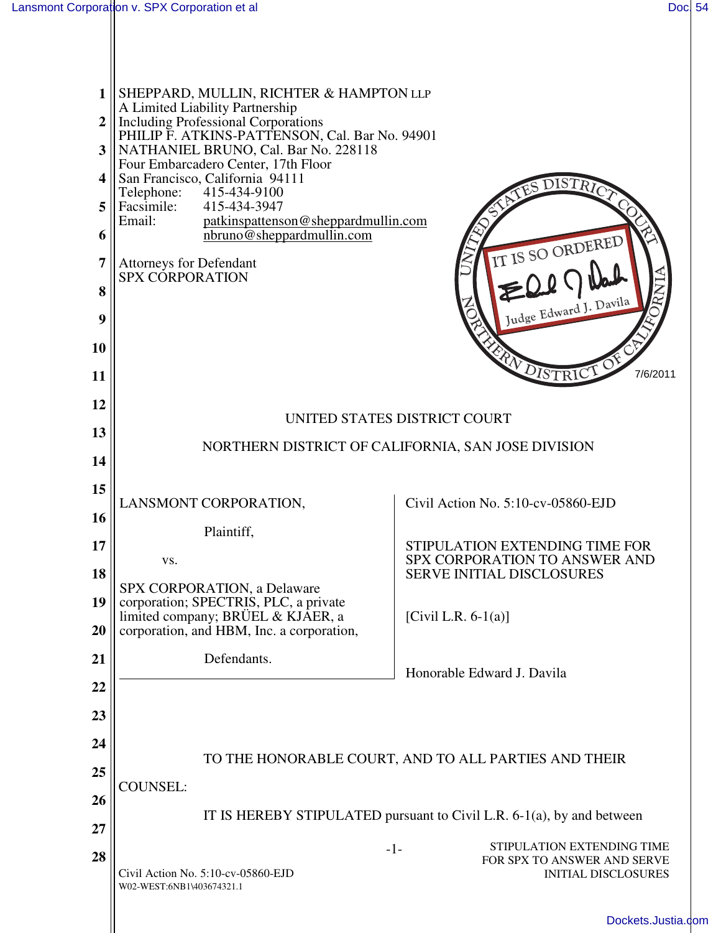$\mathbb{I}$ 

 $\parallel$ 

| $\mathbf{1}$<br>$\overline{2}$<br>3<br>4<br>5<br>6<br>7<br>8<br>9<br>10<br>11 | SHEPPARD, MULLIN, RICHTER & HAMPTON LLP<br>A Limited Liability Partnership<br><b>Including Professional Corporations</b><br>PHILIP F. ATKINS-PATTENSON, Cal. Bar No. 94901<br>NATHANIEL BRUNO, Cal. Bar No. 228118<br>Four Embarcadero Center, 17th Floor<br>San Francisco, California 94111<br>415-434-9100<br>Telephone:<br>415-434-3947<br>Facsimile:<br>Email:<br>patkinspattenson@sheppardmullin.com<br>nbruno@sheppardmullin.com<br><b>Attorneys for Defendant</b><br><b>SPX CORPORATION</b> | IT IS SO ORDERED<br>Judge Edward J. Davila<br>FRANDISTRIC<br>7/6/2011                   |  |
|-------------------------------------------------------------------------------|----------------------------------------------------------------------------------------------------------------------------------------------------------------------------------------------------------------------------------------------------------------------------------------------------------------------------------------------------------------------------------------------------------------------------------------------------------------------------------------------------|-----------------------------------------------------------------------------------------|--|
| 12                                                                            | UNITED STATES DISTRICT COURT                                                                                                                                                                                                                                                                                                                                                                                                                                                                       |                                                                                         |  |
| 13                                                                            |                                                                                                                                                                                                                                                                                                                                                                                                                                                                                                    |                                                                                         |  |
| 14                                                                            | NORTHERN DISTRICT OF CALIFORNIA, SAN JOSE DIVISION                                                                                                                                                                                                                                                                                                                                                                                                                                                 |                                                                                         |  |
| 15                                                                            | LANSMONT CORPORATION,                                                                                                                                                                                                                                                                                                                                                                                                                                                                              | Civil Action No. 5:10-cv-05860-EJD                                                      |  |
| 16                                                                            | Plaintiff,                                                                                                                                                                                                                                                                                                                                                                                                                                                                                         |                                                                                         |  |
| 17                                                                            | VS.                                                                                                                                                                                                                                                                                                                                                                                                                                                                                                | STIPULATION EXTENDING TIME FOR<br>SPX CORPORATION TO ANSWER AND                         |  |
| 18                                                                            | SPX CORPORATION, a Delaware                                                                                                                                                                                                                                                                                                                                                                                                                                                                        | <b>SERVE INITIAL DISCLOSURES</b>                                                        |  |
| 19<br>20                                                                      | corporation; SPECTRIS, PLC, a private<br>limited company; BRÜEL & KJAER, a<br>corporation, and HBM, Inc. a corporation,                                                                                                                                                                                                                                                                                                                                                                            | [Civil L.R. $6-1(a)$ ]                                                                  |  |
| 21                                                                            | Defendants.                                                                                                                                                                                                                                                                                                                                                                                                                                                                                        |                                                                                         |  |
| 22                                                                            |                                                                                                                                                                                                                                                                                                                                                                                                                                                                                                    | Honorable Edward J. Davila                                                              |  |
| 23                                                                            |                                                                                                                                                                                                                                                                                                                                                                                                                                                                                                    |                                                                                         |  |
| 24                                                                            |                                                                                                                                                                                                                                                                                                                                                                                                                                                                                                    |                                                                                         |  |
| 25                                                                            | TO THE HONORABLE COURT, AND TO ALL PARTIES AND THEIR                                                                                                                                                                                                                                                                                                                                                                                                                                               |                                                                                         |  |
| 26                                                                            | <b>COUNSEL:</b>                                                                                                                                                                                                                                                                                                                                                                                                                                                                                    |                                                                                         |  |
| 27                                                                            | IT IS HEREBY STIPULATED pursuant to Civil L.R. $6-1(a)$ , by and between                                                                                                                                                                                                                                                                                                                                                                                                                           |                                                                                         |  |
| 28                                                                            | $-1-$<br>Civil Action No. 5:10-cv-05860-EJD<br>W02-WEST:6NB1\403674321.1                                                                                                                                                                                                                                                                                                                                                                                                                           | STIPULATION EXTENDING TIME<br>FOR SPX TO ANSWER AND SERVE<br><b>INITIAL DISCLOSURES</b> |  |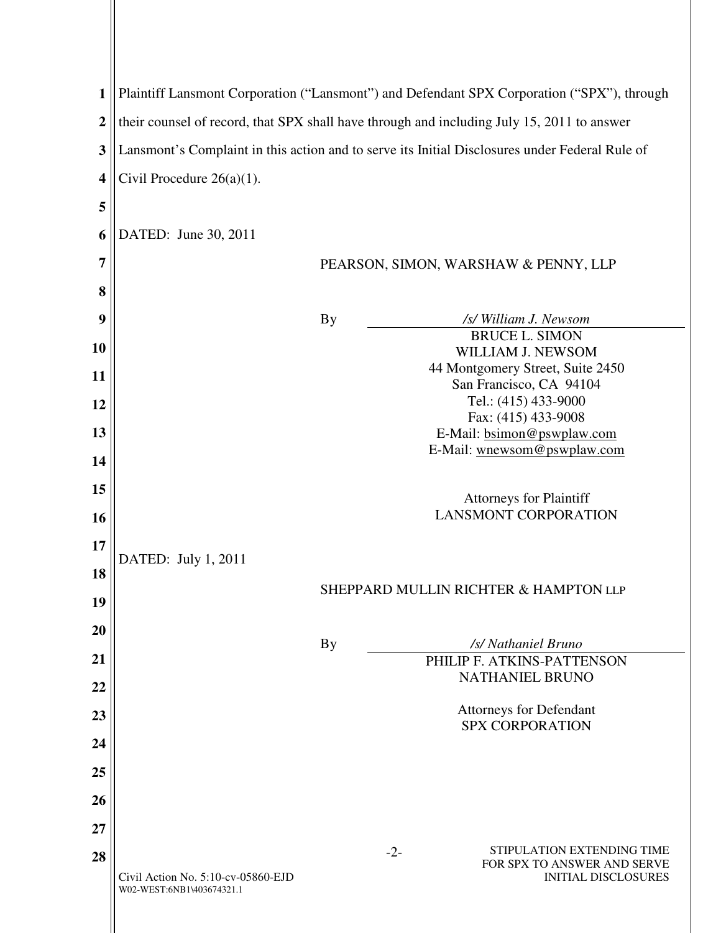| $\mathbf{1}$     | Plaintiff Lansmont Corporation ("Lansmont") and Defendant SPX Corporation ("SPX"), through     |                                      |                                                                    |  |  |
|------------------|------------------------------------------------------------------------------------------------|--------------------------------------|--------------------------------------------------------------------|--|--|
| $\boldsymbol{2}$ | their counsel of record, that SPX shall have through and including July 15, 2011 to answer     |                                      |                                                                    |  |  |
| 3                | Lansmont's Complaint in this action and to serve its Initial Disclosures under Federal Rule of |                                      |                                                                    |  |  |
| 4                | Civil Procedure $26(a)(1)$ .                                                                   |                                      |                                                                    |  |  |
| 5                |                                                                                                |                                      |                                                                    |  |  |
| 6                | DATED: June 30, 2011                                                                           |                                      |                                                                    |  |  |
| 7                |                                                                                                | PEARSON, SIMON, WARSHAW & PENNY, LLP |                                                                    |  |  |
| 8                |                                                                                                |                                      |                                                                    |  |  |
| 9                |                                                                                                | <b>By</b>                            | /s/ William J. Newsom                                              |  |  |
|                  |                                                                                                |                                      | <b>BRUCE L. SIMON</b>                                              |  |  |
| 10               |                                                                                                |                                      | WILLIAM J. NEWSOM                                                  |  |  |
|                  |                                                                                                |                                      | 44 Montgomery Street, Suite 2450                                   |  |  |
| 11               |                                                                                                |                                      | San Francisco, CA 94104                                            |  |  |
|                  |                                                                                                |                                      | Tel.: (415) 433-9000                                               |  |  |
| 12               |                                                                                                |                                      | Fax: (415) 433-9008                                                |  |  |
| 13               |                                                                                                |                                      | E-Mail: bsimon@pswplaw.com                                         |  |  |
|                  |                                                                                                |                                      | E-Mail: wnewsom@pswplaw.com                                        |  |  |
| 14               |                                                                                                |                                      |                                                                    |  |  |
|                  |                                                                                                |                                      |                                                                    |  |  |
| 15               |                                                                                                |                                      |                                                                    |  |  |
|                  |                                                                                                |                                      | <b>Attorneys for Plaintiff</b><br><b>LANSMONT CORPORATION</b>      |  |  |
| 16               |                                                                                                |                                      |                                                                    |  |  |
| 17               | DATED: July 1, 2011                                                                            |                                      |                                                                    |  |  |
| 18               |                                                                                                |                                      |                                                                    |  |  |
| 19               |                                                                                                |                                      | SHEPPARD MULLIN RICHTER & HAMPTON LLP                              |  |  |
|                  |                                                                                                |                                      |                                                                    |  |  |
| 20               |                                                                                                | <b>By</b>                            | /s/ Nathaniel Bruno                                                |  |  |
| 21               |                                                                                                |                                      | PHILIP F. ATKINS-PATTENSON                                         |  |  |
|                  |                                                                                                |                                      | <b>NATHANIEL BRUNO</b>                                             |  |  |
| 22               |                                                                                                |                                      | <b>Attorneys for Defendant</b>                                     |  |  |
| 23               |                                                                                                |                                      | <b>SPX CORPORATION</b>                                             |  |  |
| 24               |                                                                                                |                                      |                                                                    |  |  |
| 25               |                                                                                                |                                      |                                                                    |  |  |
| 26               |                                                                                                |                                      |                                                                    |  |  |
| 27               |                                                                                                |                                      |                                                                    |  |  |
| 28               |                                                                                                |                                      | STIPULATION EXTENDING TIME<br>$-2-$<br>FOR SPX TO ANSWER AND SERVE |  |  |
|                  | Civil Action No. 5:10-cv-05860-EJD<br>W02-WEST:6NB1\403674321.1                                |                                      | <b>INITIAL DISCLOSURES</b>                                         |  |  |